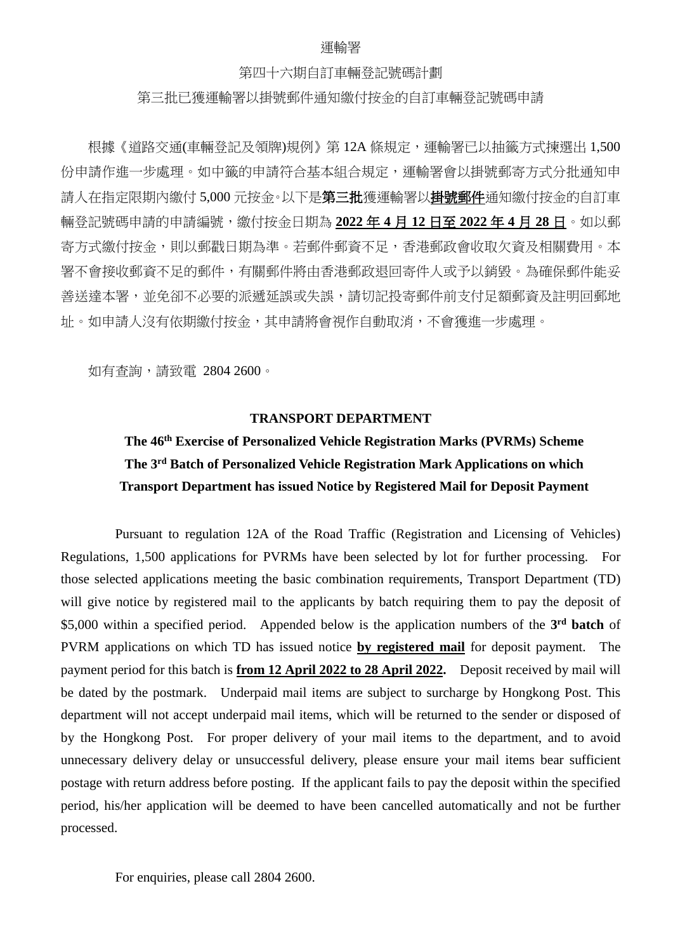#### 運輸署

#### 第四十六期自訂車輛登記號碼計劃

#### 第三批已獲運輸署以掛號郵件通知繳付按金的自訂車輛登記號碼申請

根據《道路交通(車輛登記及領牌)規例》第12A條規定,運輸署已以抽籤方式揀選出 1,500 份申請作進一步處理。如中籤的申請符合基本組合規定,運輸署會以掛號郵寄方式分批通知申 請人在指定限期內繳付 5,000 元按金。以下是**第三批**獲運輸署以**掛號郵件**通知繳付按金的自訂車 輛登記號碼申請的申請編號,繳付按金日期為 **2022** 年 **4** 月 **12** 日至 **2022** 年 **4** 月 **28** 日。如以郵 寄方式繳付按金,則以郵戳日期為準。若郵件郵資不足,香港郵政會收取欠資及相關費用。本 署不會接收郵資不足的郵件,有關郵件將由香港郵政退回寄件人或予以銷毀。為確保郵件能妥 善送達本署,並免卻不必要的派遞延誤或失誤,請切記投寄郵件前支付足額郵資及註明回郵地 址。如申請人沒有依期繳付按金,其申請將會視作自動取消,不會獲進一步處理。

如有查詢,請致電 2804 2600。

### **TRANSPORT DEPARTMENT**

### **The 46th Exercise of Personalized Vehicle Registration Marks (PVRMs) Scheme The 3rd Batch of Personalized Vehicle Registration Mark Applications on which Transport Department has issued Notice by Registered Mail for Deposit Payment**

Pursuant to regulation 12A of the Road Traffic (Registration and Licensing of Vehicles) Regulations, 1,500 applications for PVRMs have been selected by lot for further processing. For those selected applications meeting the basic combination requirements, Transport Department (TD) will give notice by registered mail to the applicants by batch requiring them to pay the deposit of \$5,000 within a specified period. Appended below is the application numbers of the **3rd batch** of PVRM applications on which TD has issued notice **by registered mail** for deposit payment. The payment period for this batch is **from 12 April 2022 to 28 April 2022.** Deposit received by mail will be dated by the postmark. Underpaid mail items are subject to surcharge by Hongkong Post. This department will not accept underpaid mail items, which will be returned to the sender or disposed of by the Hongkong Post. For proper delivery of your mail items to the department, and to avoid unnecessary delivery delay or unsuccessful delivery, please ensure your mail items bear sufficient postage with return address before posting. If the applicant fails to pay the deposit within the specified period, his/her application will be deemed to have been cancelled automatically and not be further processed.

For enquiries, please call 2804 2600.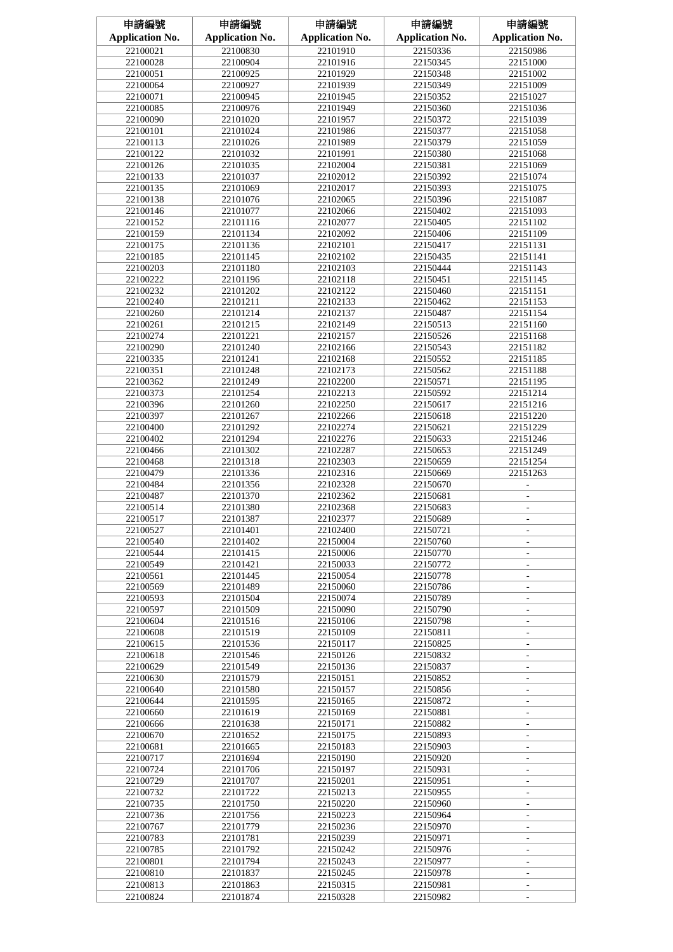| 申請編號                   | 申請編號                   | 申請編號                   | 申請編號                   | 申請編號                                                 |
|------------------------|------------------------|------------------------|------------------------|------------------------------------------------------|
| <b>Application No.</b> | <b>Application No.</b> | <b>Application No.</b> | <b>Application No.</b> | <b>Application No.</b>                               |
| 22100021               | 22100830               | 22101910               | 22150336               | 22150986                                             |
| 22100028               | 22100904               | 22101916               | 22150345               | 22151000                                             |
| 22100051               | 22100925               | 22101929               | 22150348               | 22151002                                             |
| 22100064               | 22100927               | 22101939               | 22150349               | 22151009                                             |
| 22100071               | 22100945               | 22101945               | 22150352               | 22151027                                             |
| 22100085               | 22100976               | 22101949               | 22150360               | 22151036                                             |
| 22100090               | 22101020               | 22101957               | 22150372               | 22151039                                             |
| 22100101               | 22101024               | 22101986               | 22150377               | 22151058                                             |
| 22100113               | 22101026               | 22101989               | 22150379               | 22151059                                             |
| 22100122               | 22101032               | 22101991               | 22150380               | 22151068                                             |
| 22100126               | 22101035               | 22102004               | 22150381               | 22151069                                             |
| 22100133               | 22101037               | 22102012               | 22150392               | 22151074                                             |
| 22100135               | 22101069               | 22102017               | 22150393               | 22151075                                             |
|                        |                        |                        |                        |                                                      |
| 22100138               | 22101076               | 22102065               | 22150396<br>22150402   | 22151087                                             |
| 22100146               | 22101077               | 22102066               |                        | 22151093                                             |
| 22100152               | 22101116               | 22102077               | 22150405               | 22151102                                             |
| 22100159               | 22101134               | 22102092               | 22150406               | 22151109                                             |
| 22100175               | 22101136               | 22102101               | 22150417               | 22151131                                             |
| 22100185               | 22101145               | 22102102               | 22150435               | 22151141                                             |
| 22100203               | 22101180               | 22102103               | 22150444               | 22151143                                             |
| 22100222               | 22101196               | 22102118               | 22150451               | 22151145                                             |
| 22100232               | 22101202               | 22102122               | 22150460               | 22151151                                             |
| 22100240               | 22101211               | 22102133               | 22150462               | 22151153                                             |
| 22100260               | 22101214               | 22102137               | 22150487               | 22151154                                             |
| 22100261               | 22101215               | 22102149               | 22150513               | 22151160                                             |
| 22100274               | 22101221               | 22102157               | 22150526               | 22151168                                             |
| 22100290               | 22101240               | 22102166               | 22150543               | 22151182                                             |
| 22100335               | 22101241               | 22102168               | 22150552               | 22151185                                             |
| 22100351               | 22101248               | 22102173               | 22150562               | 22151188                                             |
| 22100362               | 22101249               | 22102200               | 22150571               | 22151195                                             |
| 22100373               | 22101254               | 22102213               | 22150592               | 22151214                                             |
| 22100396               | 22101260               | 22102250               | 22150617               | 22151216                                             |
| 22100397               | 22101267               | 22102266               | 22150618               | 22151220                                             |
| 22100400               | 22101292               | 22102274               | 22150621               | 22151229                                             |
| 22100402               | 22101294               | 22102276               | 22150633               | 22151246                                             |
| 22100466               | 22101302               | 22102287               | 22150653               | 22151249                                             |
| 22100468               | 22101318               | 22102303               | 22150659               | 22151254                                             |
| 22100479               | 22101336               | 22102316               | 22150669               | 22151263                                             |
| 22100484               | 22101356               | 22102328               | 22150670               |                                                      |
| 22100487               | 22101370               | 22102362               | 22150681               | ÷.                                                   |
| 22100514               | 22101380               | 22102368               | 22150683               |                                                      |
| 22100517               | 22101387               | 22102377               | 22150689               |                                                      |
| 22100527               | 22101401               | 22102400               | 22150721               | ÷.                                                   |
| 22100540               | 22101402               | 22150004               | 22150760               | ۰                                                    |
| 22100544               | 22101415               | 22150006               | 22150770               | ٠                                                    |
| 22100549               | 22101421               | 22150033               | 22150772               | $\bar{a}$                                            |
| 22100561               | 22101445               | 22150054               | 22150778               | $\overline{\phantom{a}}$                             |
| 22100569               | 22101489               | 22150060               | 22150786               | $\overline{\phantom{a}}$                             |
| 22100593               | 22101504               | 22150074               | 22150789               | $\overline{\phantom{a}}$                             |
| 22100597               | 22101509               | 22150090               | 22150790               | $\overline{\phantom{0}}$                             |
| 22100604               | 22101516               | 22150106               | 22150798               | $\overline{\phantom{0}}$                             |
| 22100608               | 22101519               | 22150109               | 22150811               | ÷.                                                   |
| 22100615               | 22101536               | 22150117               | 22150825               | $\overline{\phantom{a}}$                             |
| 22100618               | 22101546               | 22150126               | 22150832               | ÷.                                                   |
| 22100629               | 22101549               | 22150136               | 22150837               |                                                      |
| 22100630               | 22101579               | 22150151               | 22150852               |                                                      |
| 22100640               | 22101580               | 22150157               | 22150856               | $\overline{\phantom{a}}$<br>÷.                       |
| 22100644               | 22101595               | 22150165               | 22150872               |                                                      |
| 22100660               | 22101619               | 22150169               | 22150881               | $\overline{\phantom{0}}$                             |
|                        |                        | 22150171               |                        | $\overline{\phantom{a}}$<br>$\overline{\phantom{a}}$ |
| 22100666               | 22101638               |                        | 22150882               |                                                      |
| 22100670               | 22101652               | 22150175               | 22150893               | ÷.                                                   |
| 22100681               | 22101665               | 22150183               | 22150903               | ÷.                                                   |
| 22100717               | 22101694               | 22150190               | 22150920               | ÷.                                                   |
| 22100724               | 22101706               | 22150197               | 22150931               | ÷.                                                   |
| 22100729               | 22101707               | 22150201               | 22150951               | ÷.                                                   |
| 22100732               | 22101722               | 22150213               | 22150955               | $\overline{\phantom{a}}$                             |
| 22100735               | 22101750               | 22150220               | 22150960               | $\overline{\phantom{a}}$                             |
| 22100736               | 22101756               | 22150223               | 22150964               | ÷.                                                   |
| 22100767               | 22101779               | 22150236               | 22150970               | ۰                                                    |
| 22100783               | 22101781               | 22150239               | 22150971               | ÷                                                    |
| 22100785               | 22101792               | 22150242               | 22150976               | ÷.                                                   |
| 22100801               | 22101794               | 22150243               | 22150977               | $\overline{\phantom{a}}$                             |
| 22100810               | 22101837               | 22150245               | 22150978               | ÷,                                                   |
| 22100813               | 22101863               | 22150315               | 22150981               |                                                      |
| 22100824               | 22101874               | 22150328               | 22150982               |                                                      |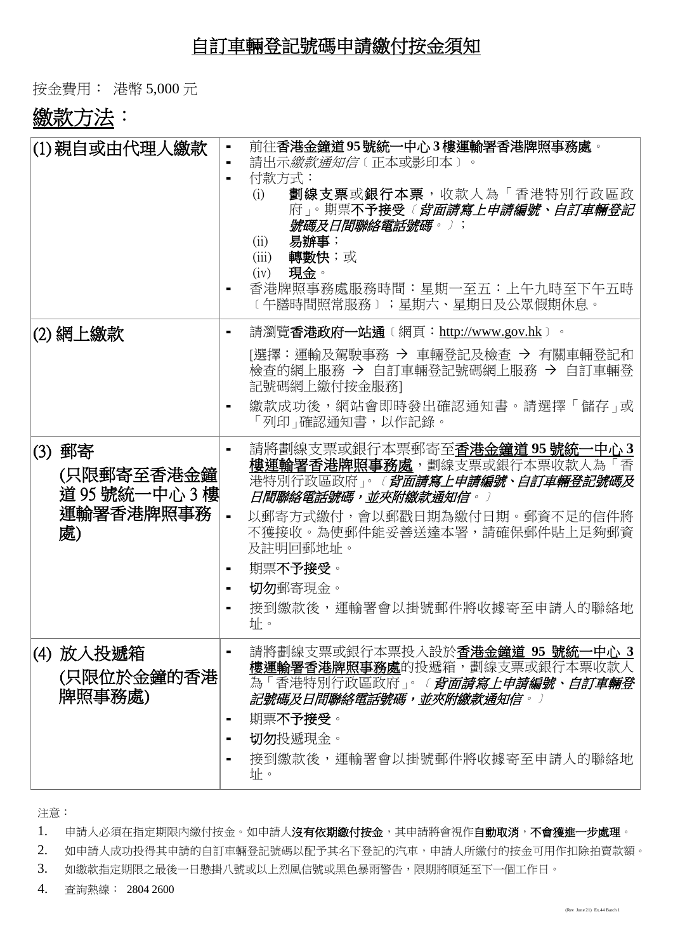## 自訂車輛登記號碼申請繳付按金須知

按金費用: 港幣 5,000 元

# 繳款方法:

| (1)親自或由代理人繳款                                              | 前往香港金鐘道95號統一中心3樓運輸署香港牌照事務處。<br>請出示 <i>繳款通知信</i> 〔正本或影印本〕。<br>付款方式:<br>劃線支票或銀行本票,收款人為「香港特別行政區政<br>(i)<br>府」。期票不予接受 <i>〔 背面請寫上申請編號、自訂車輛登記</i><br>號碼及日間聯絡電話號碼。〕;<br>易辦事;<br>(ii)<br>轉數快;或<br>(iii)<br>現金。<br>(iv)<br>香港牌照事務處服務時間:星期一至五:上午九時至下午五時<br>〔午膳時間照常服務〕;星期六、星期日及公眾假期休息。                              |
|-----------------------------------------------------------|----------------------------------------------------------------------------------------------------------------------------------------------------------------------------------------------------------------------------------------------------------------------------------------------------------|
| (2) 網上繳款                                                  | 請瀏覽 <b>香港政府一站通</b> 〔網頁:http://www.gov.hk〕。<br>[選擇:運輸及駕駛事務 → 車輛登記及檢查 → 有關車輛登記和<br>檢查的網上服務 → 自訂車輛登記號碼網上服務 → 自訂車輛登<br>記號碼網上繳付按金服務1<br>繳款成功後,網站會即時發出確認通知書。請選擇「儲存」或<br>「列印」確認通知書,以作記錄。                                                                                                                        |
| (3) 郵寄<br>(只限郵寄至香港金鐘<br>道 95 號統一中心 3 樓<br>運輸署香港牌照事務<br>處) | 請將劃線支票或銀行本票郵寄至香港金鐘道95號統一中心3<br><b>樓運輸署香港牌照事務處</b> ,劃線支票或銀行本票收款人為「香<br>港特別行政區政府」。 <i>(<b>背面請寫上申請編號、自訂車輛登記號碼及</b></i><br>日間聯絡電話號碼,並夾附繳款通知信。)<br>以郵寄方式繳付,會以郵戳日期為繳付日期。郵資不足的信件將<br>$\blacksquare$<br>不獲接收。為使郵件能妥善送達本署,請確保郵件貼上足夠郵資<br>及註明回郵地址。<br>期票不予接受。<br>٠<br>切勿郵寄現金。<br>接到繳款後,運輸署會以掛號郵件將收據寄至申請人的聯絡地<br>址。 |
| (4) 放入投遞箱<br>(只限位於金鐘的香港)<br>牌照事務處)                        | 請將劃線支票或銀行本票投入設於香港金鐘道 95 號統一中心 3<br><b>樓運輸署香港牌照事務處</b> 的投遞箱,劃線支票或銀行本票收款人<br>為「香港特別行政區政府」。 <i>〔<b>背面請寫上申請編號、自訂車輛登</b></i><br>記號碼及日間聯絡電話號碼,並夾附繳款通知信。〕<br>期票不予接受。<br>切勿投遞現金。<br>接到繳款後,運輸署會以掛號郵件將收據寄至申請人的聯絡地<br>址。                                                                                            |

注意:

1. 申請人必須在指定期限內繳付按金。如申請人沒有依期繳付按金,其申請將會視作自動取消,不會獲進一步處理。

2. 如申請人成功投得其申請的自訂車輛登記號碼以配予其名下登記的汽車,申請人所繳付的按金可用作扣除拍賣款額。

3. 如繳款指定期限之最後一日懸掛八號或以上烈風信號或黑色暴雨警告,限期將順延至下一個工作日。

4. 查詢熱線: 2804 2600